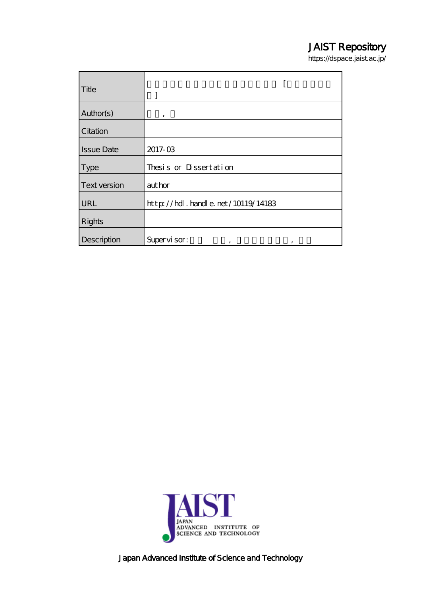## JAIST Repository

https://dspace.jaist.ac.jp/

| Title             |                                                                                         |
|-------------------|-----------------------------------------------------------------------------------------|
| Author(s)         | ,                                                                                       |
| Citation          |                                                                                         |
| <b>Issue Date</b> | 2017-03                                                                                 |
| <b>Type</b>       | Thesis or Dissertation                                                                  |
| Text version      | author                                                                                  |
| <b>URL</b>        | $\frac{1}{2}$ // $\frac{1}{2}$ // $\frac{1}{2}$ . $\frac{1}{2}$ and e. net /10119/14183 |
| Rights            |                                                                                         |
| Description       | Supervisor:<br>,<br>,                                                                   |



Japan Advanced Institute of Science and Technology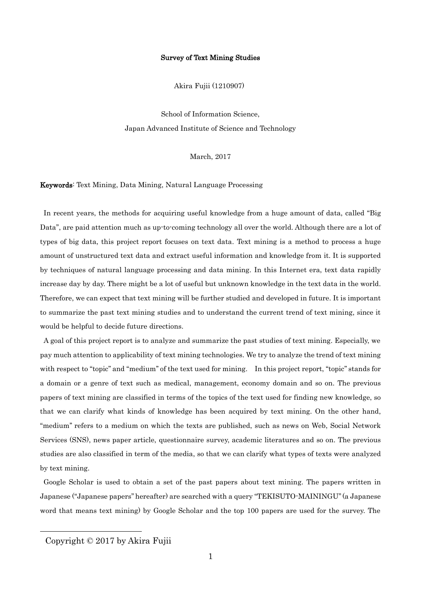## Survey of Text Mining Studies

Akira Fujii (1210907)

School of Information Science, Japan Advanced Institute of Science and Technology

March, 2017

Keywords: Text Mining, Data Mining, Natural Language Processing

In recent years, the methods for acquiring useful knowledge from a huge amount of data, called "Big" Data", are paid attention much as up-to-coming technology all over the world. Although there are a lot of types of big data, this project report focuses on text data. Text mining is a method to process a huge amount of unstructured text data and extract useful information and knowledge from it. It is supported by techniques of natural language processing and data mining. In this Internet era, text data rapidly increase day by day. There might be a lot of useful but unknown knowledge in the text data in the world. Therefore, we can expect that text mining will be further studied and developed in future. It is important to summarize the past text mining studies and to understand the current trend of text mining, since it would be helpful to decide future directions.

A goal of this project report is to analyze and summarize the past studies of text mining. Especially, we pay much attention to applicability of text mining technologies. We try to analyze the trend of text mining with respect to "topic" and "medium" of the text used for mining. In this project report, "topic" stands for a domain or a genre of text such as medical, management, economy domain and so on. The previous papers of text mining are classified in terms of the topics of the text used for finding new knowledge, so that we can clarify what kinds of knowledge has been acquired by text mining. On the other hand, ''medium'' refers to a medium on which the texts are published, such as news on Web, Social Network Services (SNS), news paper article, questionnaire survey, academic literatures and so on. The previous studies are also classified in term of the media, so that we can clarify what types of texts were analyzed by text mining.

Google Scholar is used to obtain a set of the past papers about text mining. The papers written in Japanese (''Japanese papers'' hereafter) are searched with a query ''TEKISUTO-MAININGU'' (a Japanese word that means text mining) by Google Scholar and the top 100 papers are used for the survey. The

l

Copyright © 2017 by Akira Fujii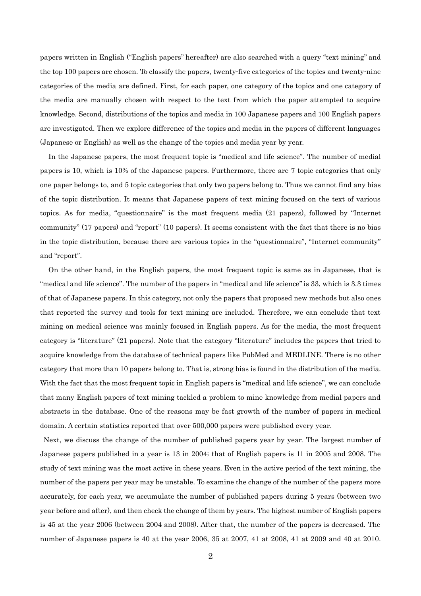papers written in English (''English papers'' hereafter) are also searched with a query ''text mining'' and the top 100 papers are chosen. To classify the papers, twenty-five categories of the topics and twenty-nine categories of the media are defined. First, for each paper, one category of the topics and one category of the media are manually chosen with respect to the text from which the paper attempted to acquire knowledge. Second, distributions of the topics and media in 100 Japanese papers and 100 English papers are investigated. Then we explore difference of the topics and media in the papers of different languages (Japanese or English) as well as the change of the topics and media year by year.

In the Japanese papers, the most frequent topic is "medical and life science". The number of medial papers is 10, which is 10% of the Japanese papers. Furthermore, there are 7 topic categories that only one paper belongs to, and 5 topic categories that only two papers belong to. Thus we cannot find any bias of the topic distribution. It means that Japanese papers of text mining focused on the text of various topics. As for media, "questionnaire" is the most frequent media (21 papers), followed by "Internet community" (17 papers) and "report" (10 papers). It seems consistent with the fact that there is no bias in the topic distribution, because there are various topics in the "questionnaire", "Internet community" and "report".

On the other hand, in the English papers, the most frequent topic is same as in Japanese, that is "medical and life science". The number of the papers in ''medical and life science'' is 33, which is 3.3 times of that of Japanese papers. In this category, not only the papers that proposed new methods but also ones that reported the survey and tools for text mining are included. Therefore, we can conclude that text mining on medical science was mainly focused in English papers. As for the media, the most frequent category is "literature" (21 papers). Note that the category "literature" includes the papers that tried to acquire knowledge from the database of technical papers like PubMed and MEDLINE. There is no other category that more than 10 papers belong to. That is, strong bias is found in the distribution of the media. With the fact that the most frequent topic in English papers is "medical and life science", we can conclude that many English papers of text mining tackled a problem to mine knowledge from medial papers and abstracts in the database. One of the reasons may be fast growth of the number of papers in medical domain. A certain statistics reported that over 500,000 papers were published every year.

Next, we discuss the change of the number of published papers year by year. The largest number of Japanese papers published in a year is 13 in 2004; that of English papers is 11 in 2005 and 2008. The study of text mining was the most active in these years. Even in the active period of the text mining, the number of the papers per year may be unstable. To examine the change of the number of the papers more accurately, for each year, we accumulate the number of published papers during 5 years (between two year before and after), and then check the change of them by years. The highest number of English papers is 45 at the year 2006 (between 2004 and 2008). After that, the number of the papers is decreased. The number of Japanese papers is 40 at the year 2006, 35 at 2007, 41 at 2008, 41 at 2009 and 40 at 2010.